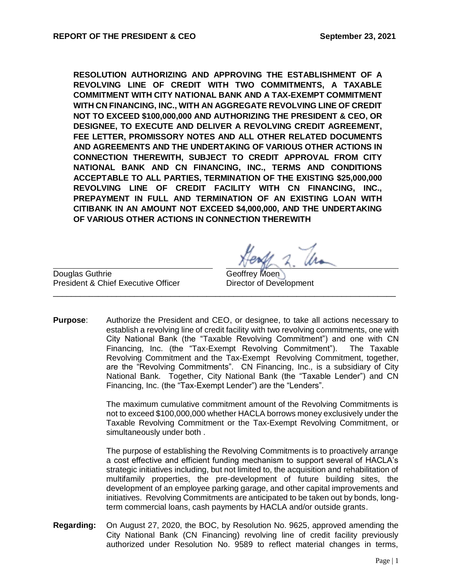**RESOLUTION AUTHORIZING AND APPROVING THE ESTABLISHMENT OF A REVOLVING LINE OF CREDIT WITH TWO COMMITMENTS, A TAXABLE COMMITMENT WITH CITY NATIONAL BANK AND A TAX-EXEMPT COMMITMENT WITH CN FINANCING, INC., WITH AN AGGREGATE REVOLVING LINE OF CREDIT NOT TO EXCEED \$100,000,000 AND AUTHORIZING THE PRESIDENT & CEO, OR DESIGNEE, TO EXECUTE AND DELIVER A REVOLVING CREDIT AGREEMENT, FEE LETTER, PROMISSORY NOTES AND ALL OTHER RELATED DOCUMENTS AND AGREEMENTS AND THE UNDERTAKING OF VARIOUS OTHER ACTIONS IN CONNECTION THEREWITH, SUBJECT TO CREDIT APPROVAL FROM CITY NATIONAL BANK AND CN FINANCING, INC., TERMS AND CONDITIONS ACCEPTABLE TO ALL PARTIES, TERMINATION OF THE EXISTING \$25,000,000 REVOLVING LINE OF CREDIT FACILITY WITH CN FINANCING, INC., PREPAYMENT IN FULL AND TERMINATION OF AN EXISTING LOAN WITH CITIBANK IN AN AMOUNT NOT EXCEED \$4,000,000, AND THE UNDERTAKING OF VARIOUS OTHER ACTIONS IN CONNECTION THEREWITH**

Douglas Guthrie Christian Controllery Moen Christian Controllery Moen Christian Christian Christian Christian President & Chief Executive Officer Director of Development

**Purpose**: Authorize the President and CEO, or designee, to take all actions necessary to establish a revolving line of credit facility with two revolving commitments, one with City National Bank (the "Taxable Revolving Commitment") and one with CN Financing, Inc. (the "Tax-Exempt Revolving Commitment"). The Taxable Revolving Commitment and the Tax-Exempt Revolving Commitment, together, are the "Revolving Commitments". CN Financing, Inc., is a subsidiary of City National Bank. Together, City National Bank (the "Taxable Lender") and CN Financing, Inc. (the "Tax-Exempt Lender") are the "Lenders".

\_\_\_\_\_\_\_\_\_\_\_\_\_\_\_\_\_\_\_\_\_\_\_\_\_\_\_\_\_\_\_\_\_\_\_\_\_\_\_\_\_\_\_\_\_\_\_\_\_\_\_\_\_\_\_\_\_\_\_\_\_\_\_\_\_\_\_\_\_\_\_\_\_\_\_\_

The maximum cumulative commitment amount of the Revolving Commitments is not to exceed \$100,000,000 whether HACLA borrows money exclusively under the Taxable Revolving Commitment or the Tax-Exempt Revolving Commitment, or simultaneously under both .

The purpose of establishing the Revolving Commitments is to proactively arrange a cost effective and efficient funding mechanism to support several of HACLA's strategic initiatives including, but not limited to, the acquisition and rehabilitation of multifamily properties, the pre-development of future building sites, the development of an employee parking garage, and other capital improvements and initiatives. Revolving Commitments are anticipated to be taken out by bonds, longterm commercial loans, cash payments by HACLA and/or outside grants.

**Regarding:** On August 27, 2020, the BOC, by Resolution No. 9625, approved amending the City National Bank (CN Financing) revolving line of credit facility previously authorized under Resolution No. 9589 to reflect material changes in terms,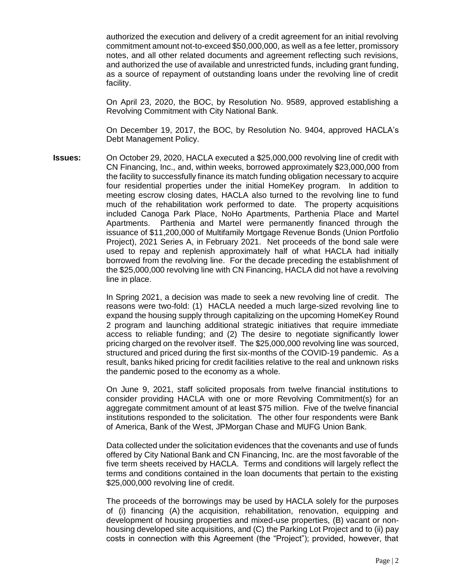authorized the execution and delivery of a credit agreement for an initial revolving commitment amount not-to-exceed \$50,000,000, as well as a fee letter, promissory notes, and all other related documents and agreement reflecting such revisions, and authorized the use of available and unrestricted funds, including grant funding, as a source of repayment of outstanding loans under the revolving line of credit facility.

On April 23, 2020, the BOC, by Resolution No. 9589, approved establishing a Revolving Commitment with City National Bank.

On December 19, 2017, the BOC, by Resolution No. 9404, approved HACLA's Debt Management Policy.

**Issues:** On October 29, 2020, HACLA executed a \$25,000,000 revolving line of credit with CN Financing, Inc., and, within weeks, borrowed approximately \$23,000,000 from the facility to successfully finance its match funding obligation necessary to acquire four residential properties under the initial HomeKey program. In addition to meeting escrow closing dates, HACLA also turned to the revolving line to fund much of the rehabilitation work performed to date. The property acquisitions included Canoga Park Place, NoHo Apartments, Parthenia Place and Martel Apartments. Parthenia and Martel were permanently financed through the issuance of \$11,200,000 of Multifamily Mortgage Revenue Bonds (Union Portfolio Project), 2021 Series A, in February 2021. Net proceeds of the bond sale were used to repay and replenish approximately half of what HACLA had initially borrowed from the revolving line. For the decade preceding the establishment of the \$25,000,000 revolving line with CN Financing, HACLA did not have a revolving line in place.

> In Spring 2021, a decision was made to seek a new revolving line of credit. The reasons were two-fold: (1) HACLA needed a much large-sized revolving line to expand the housing supply through capitalizing on the upcoming HomeKey Round 2 program and launching additional strategic initiatives that require immediate access to reliable funding; and (2) The desire to negotiate significantly lower pricing charged on the revolver itself. The \$25,000,000 revolving line was sourced, structured and priced during the first six-months of the COVID-19 pandemic. As a result, banks hiked pricing for credit facilities relative to the real and unknown risks the pandemic posed to the economy as a whole.

> On June 9, 2021, staff solicited proposals from twelve financial institutions to consider providing HACLA with one or more Revolving Commitment(s) for an aggregate commitment amount of at least \$75 million. Five of the twelve financial institutions responded to the solicitation. The other four respondents were Bank of America, Bank of the West, JPMorgan Chase and MUFG Union Bank.

> Data collected under the solicitation evidences that the covenants and use of funds offered by City National Bank and CN Financing, Inc. are the most favorable of the five term sheets received by HACLA. Terms and conditions will largely reflect the terms and conditions contained in the loan documents that pertain to the existing \$25,000,000 revolving line of credit.

> The proceeds of the borrowings may be used by HACLA solely for the purposes of (i) financing (A) the acquisition, rehabilitation, renovation, equipping and development of housing properties and mixed-use properties, (B) vacant or nonhousing developed site acquisitions, and (C) the Parking Lot Project and to (ii) pay costs in connection with this Agreement (the "Project"); provided, however, that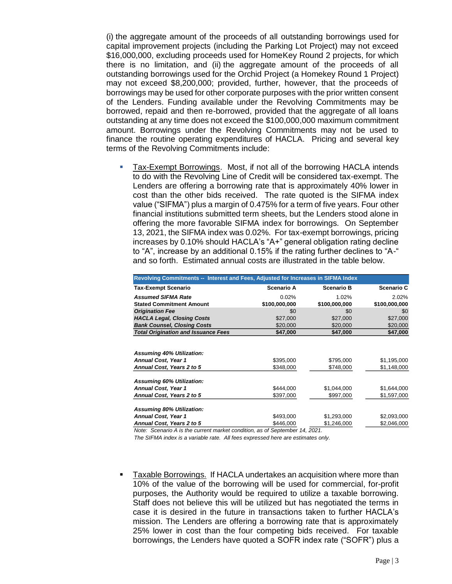(i) the aggregate amount of the proceeds of all outstanding borrowings used for capital improvement projects (including the Parking Lot Project) may not exceed \$16,000,000, excluding proceeds used for HomeKey Round 2 projects, for which there is no limitation, and (ii) the aggregate amount of the proceeds of all outstanding borrowings used for the Orchid Project (a Homekey Round 1 Project) may not exceed \$8,200,000; provided, further, however, that the proceeds of borrowings may be used for other corporate purposes with the prior written consent of the Lenders. Funding available under the Revolving Commitments may be borrowed, repaid and then re-borrowed, provided that the aggregate of all loans outstanding at any time does not exceed the \$100,000,000 maximum commitment amount. Borrowings under the Revolving Commitments may not be used to finance the routine operating expenditures of HACLA. Pricing and several key terms of the Revolving Commitments include:

 Tax-Exempt Borrowings. Most, if not all of the borrowing HACLA intends to do with the Revolving Line of Credit will be considered tax-exempt. The Lenders are offering a borrowing rate that is approximately 40% lower in cost than the other bids received. The rate quoted is the SIFMA index value ("SIFMA") plus a margin of 0.475% for a term of five years. Four other financial institutions submitted term sheets, but the Lenders stood alone in offering the more favorable SIFMA index for borrowings. On September 13, 2021, the SIFMA index was 0.02%. For tax-exempt borrowings, pricing increases by 0.10% should HACLA's "A+" general obligation rating decline to "A", increase by an additional 0.15% if the rating further declines to "A-" and so forth. Estimated annual costs are illustrated in the table below.

| Revolving Commitments -- Interest and Fees, Adjusted for Increases in SIFMA Index |                                                        |                   |                   |  |  |  |  |  |  |
|-----------------------------------------------------------------------------------|--------------------------------------------------------|-------------------|-------------------|--|--|--|--|--|--|
| Tax-Exempt Scenario                                                               | <b>Scenario A</b>                                      | <b>Scenario B</b> | <b>Scenario C</b> |  |  |  |  |  |  |
| <b>Assumed SIFMA Rate</b>                                                         | 0.02%                                                  | 1.02%             | 2.02%             |  |  |  |  |  |  |
| <b>Stated Commitment Amount</b>                                                   | \$100,000,000                                          | \$100,000,000     | \$100,000,000     |  |  |  |  |  |  |
| <b>Origination Fee</b>                                                            | \$0                                                    | \$0               | \$0               |  |  |  |  |  |  |
| <b>HACLA Legal, Closing Costs</b>                                                 | \$27,000                                               | \$27,000          | \$27,000          |  |  |  |  |  |  |
| <b>Bank Counsel, Closing Costs</b>                                                | \$20,000                                               | \$20,000          | \$20,000          |  |  |  |  |  |  |
| <b>Total Origination and Issuance Fees</b>                                        | \$47,000                                               | \$47,000          | \$47,000          |  |  |  |  |  |  |
| <b>Assuming 40% Utilization:</b>                                                  |                                                        |                   |                   |  |  |  |  |  |  |
| <b>Annual Cost, Year 1</b>                                                        | \$395,000                                              | \$795,000         | \$1,195,000       |  |  |  |  |  |  |
| Annual Cost, Years 2 to 5                                                         | \$348,000                                              | \$748,000         | \$1,148,000       |  |  |  |  |  |  |
| <b>Assuming 60% Utilization:</b><br><b>Annual Cost, Year 1</b>                    | \$444,000                                              | \$1,044,000       | \$1,644,000       |  |  |  |  |  |  |
| Annual Cost, Years 2 to 5                                                         | \$397,000                                              | \$997,000         | \$1,597,000       |  |  |  |  |  |  |
|                                                                                   |                                                        |                   |                   |  |  |  |  |  |  |
| <b>Assuming 80% Utilization:</b>                                                  |                                                        |                   |                   |  |  |  |  |  |  |
| Annual Cost, Year 1                                                               | \$493,000                                              | \$1,293,000       | \$2,093,000       |  |  |  |  |  |  |
| Annual Cost, Years 2 to 5                                                         | \$446,000                                              | \$1,246,000       | \$2,046,000       |  |  |  |  |  |  |
| $\cdots$<br>$\cdots$ $\sim$ $\cdots$                                              | $\sqrt{2}$ $\sqrt{2}$ $\sqrt{2}$ $\sqrt{2}$ $\sqrt{2}$ |                   |                   |  |  |  |  |  |  |

*Note: Scenario A is the current market condition, as of September 14, 2021.*

*The SIFMA index is a variable rate. All fees expressed here are estimates only.* 

 Taxable Borrowings. If HACLA undertakes an acquisition where more than 10% of the value of the borrowing will be used for commercial, for-profit purposes, the Authority would be required to utilize a taxable borrowing. Staff does not believe this will be utilized but has negotiated the terms in case it is desired in the future in transactions taken to further HACLA's mission. The Lenders are offering a borrowing rate that is approximately 25% lower in cost than the four competing bids received. For taxable borrowings, the Lenders have quoted a SOFR index rate ("SOFR") plus a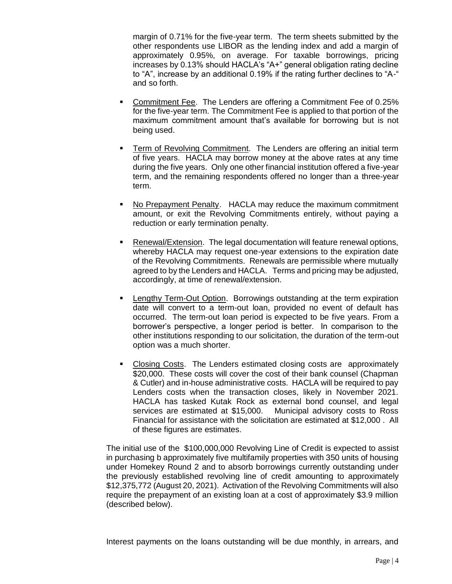margin of 0.71% for the five-year term. The term sheets submitted by the other respondents use LIBOR as the lending index and add a margin of approximately 0.95%, on average. For taxable borrowings, pricing increases by 0.13% should HACLA's "A+" general obligation rating decline to "A", increase by an additional 0.19% if the rating further declines to "A-" and so forth.

- Commitment Fee. The Lenders are offering a Commitment Fee of 0.25% for the five-year term. The Commitment Fee is applied to that portion of the maximum commitment amount that's available for borrowing but is not being used.
- Term of Revolving Commitment. The Lenders are offering an initial term of five years. HACLA may borrow money at the above rates at any time during the five years. Only one other financial institution offered a five-year term, and the remaining respondents offered no longer than a three-year term.
- No Prepayment Penalty. HACLA may reduce the maximum commitment amount, or exit the Revolving Commitments entirely, without paying a reduction or early termination penalty.
- Renewal/Extension. The legal documentation will feature renewal options, whereby HACLA may request one-year extensions to the expiration date of the Revolving Commitments. Renewals are permissible where mutually agreed to by the Lenders and HACLA. Terms and pricing may be adjusted, accordingly, at time of renewal/extension.
- Lengthy Term-Out Option. Borrowings outstanding at the term expiration date will convert to a term-out loan, provided no event of default has occurred. The term-out loan period is expected to be five years. From a borrower's perspective, a longer period is better. In comparison to the other institutions responding to our solicitation, the duration of the term-out option was a much shorter.
- Closing Costs. The Lenders estimated closing costs are approximately \$20,000. These costs will cover the cost of their bank counsel (Chapman & Cutler) and in-house administrative costs. HACLA will be required to pay Lenders costs when the transaction closes, likely in November 2021. HACLA has tasked Kutak Rock as external bond counsel, and legal services are estimated at \$15,000. Municipal advisory costs to Ross Financial for assistance with the solicitation are estimated at \$12,000 . All of these figures are estimates.

The initial use of the \$100,000,000 Revolving Line of Credit is expected to assist in purchasing b approximately five multifamily properties with 350 units of housing under Homekey Round 2 and to absorb borrowings currently outstanding under the previously established revolving line of credit amounting to approximately \$12,375,772 (August 20, 2021). Activation of the Revolving Commitments will also require the prepayment of an existing loan at a cost of approximately \$3.9 million (described below).

Interest payments on the loans outstanding will be due monthly, in arrears, and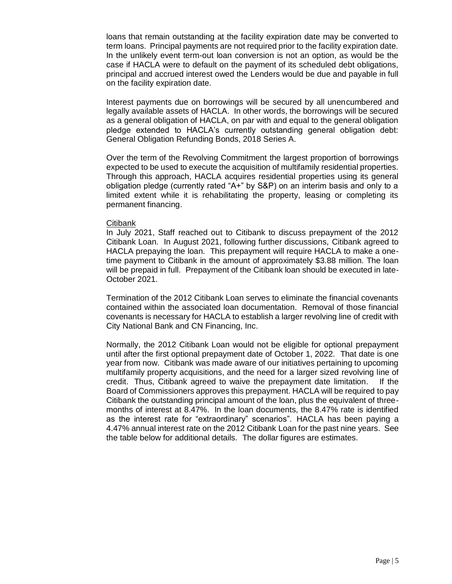loans that remain outstanding at the facility expiration date may be converted to term loans. Principal payments are not required prior to the facility expiration date. In the unlikely event term-out loan conversion is not an option, as would be the case if HACLA were to default on the payment of its scheduled debt obligations, principal and accrued interest owed the Lenders would be due and payable in full on the facility expiration date.

Interest payments due on borrowings will be secured by all unencumbered and legally available assets of HACLA. In other words, the borrowings will be secured as a general obligation of HACLA, on par with and equal to the general obligation pledge extended to HACLA's currently outstanding general obligation debt: General Obligation Refunding Bonds, 2018 Series A.

Over the term of the Revolving Commitment the largest proportion of borrowings expected to be used to execute the acquisition of multifamily residential properties. Through this approach, HACLA acquires residential properties using its general obligation pledge (currently rated "A+" by S&P) on an interim basis and only to a limited extent while it is rehabilitating the property, leasing or completing its permanent financing.

#### **Citibank**

In July 2021, Staff reached out to Citibank to discuss prepayment of the 2012 Citibank Loan. In August 2021, following further discussions, Citibank agreed to HACLA prepaying the loan. This prepayment will require HACLA to make a onetime payment to Citibank in the amount of approximately \$3.88 million. The loan will be prepaid in full. Prepayment of the Citibank loan should be executed in late-October 2021.

Termination of the 2012 Citibank Loan serves to eliminate the financial covenants contained within the associated loan documentation. Removal of those financial covenants is necessary for HACLA to establish a larger revolving line of credit with City National Bank and CN Financing, Inc.

Normally, the 2012 Citibank Loan would not be eligible for optional prepayment until after the first optional prepayment date of October 1, 2022. That date is one year from now. Citibank was made aware of our initiatives pertaining to upcoming multifamily property acquisitions, and the need for a larger sized revolving line of credit. Thus, Citibank agreed to waive the prepayment date limitation. If the Board of Commissioners approves this prepayment. HACLA will be required to pay Citibank the outstanding principal amount of the loan, plus the equivalent of threemonths of interest at 8.47%. In the loan documents, the 8.47% rate is identified as the interest rate for "extraordinary" scenarios". HACLA has been paying a 4.47% annual interest rate on the 2012 Citibank Loan for the past nine years. See the table below for additional details. The dollar figures are estimates.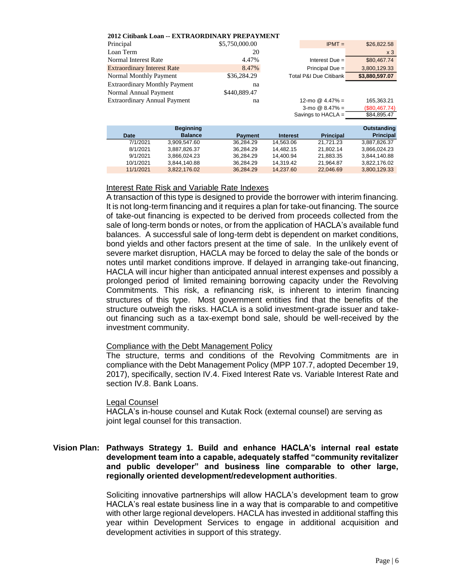| 2012 Citibank Loan -- EXTRAORDINARY PREPAYMENT |                |                                   |                |
|------------------------------------------------|----------------|-----------------------------------|----------------|
| Principal                                      | \$5,750,000.00 | $IPMT =$                          | \$26,822.58    |
| Loan Term                                      | 20             |                                   | x <sub>3</sub> |
| Normal Interest Rate                           | 4.47%          | Interest Due $=$                  | \$80,467.74    |
| <b>Extraordinary Interest Rate</b>             | 8.47%          | Principal Due $=$                 | 3,800,129.33   |
| Normal Monthly Payment                         | \$36,284.29    | <b>Total P&amp;I Due Citibank</b> | \$3,880,597.07 |
| <b>Extraordinary Monthly Payment</b>           | na             |                                   |                |
| Normal Annual Payment                          | \$440,889.47   |                                   |                |
| <b>Extraordinary Annual Payment</b>            | na             | 12-mo $@$ 4.47% =                 | 165,363.21     |
|                                                |                | 3-mo $@$ 8.47% =                  | (\$80,467.74)  |
|                                                |                | Savings to HACLA $=$              | \$84,895.47    |

|           | <b>Beginning</b> |                |                 |                  | Outstanding      |
|-----------|------------------|----------------|-----------------|------------------|------------------|
| Date      | <b>Balance</b>   | <b>Payment</b> | <b>Interest</b> | <b>Principal</b> | <b>Principal</b> |
| 7/1/2021  | 3.909.547.60     | 36.284.29      | 14.563.06       | 21.721.23        | 3.887.826.37     |
| 8/1/2021  | 3.887.826.37     | 36,284.29      | 14.482.15       | 21.802.14        | 3,866,024.23     |
| 9/1/2021  | 3.866.024.23     | 36.284.29      | 14.400.94       | 21.883.35        | 3.844.140.88     |
| 10/1/2021 | 3,844,140.88     | 36,284.29      | 14.319.42       | 21.964.87        | 3.822.176.02     |
| 11/1/2021 | 3,822,176.02     | 36.284.29      | 14.237.60       | 22.046.69        | 3,800,129.33     |

### Interest Rate Risk and Variable Rate Indexes

A transaction of this type is designed to provide the borrower with interim financing. It is not long-term financing and it requires a plan for take-out financing. The source of take-out financing is expected to be derived from proceeds collected from the sale of long-term bonds or notes, or from the application of HACLA's available fund balances. A successful sale of long-term debt is dependent on market conditions, bond yields and other factors present at the time of sale. In the unlikely event of severe market disruption, HACLA may be forced to delay the sale of the bonds or notes until market conditions improve. If delayed in arranging take-out financing, HACLA will incur higher than anticipated annual interest expenses and possibly a prolonged period of limited remaining borrowing capacity under the Revolving Commitments. This risk, a refinancing risk, is inherent to interim financing structures of this type. Most government entities find that the benefits of the structure outweigh the risks. HACLA is a solid investment-grade issuer and takeout financing such as a tax-exempt bond sale, should be well-received by the investment community. 2012 Citibank Loan -- EXTRAORDINARY PREPAYMENT<br>
Fraceplant Terms state<br>
Fraceplant activities in S5.750,000.00<br>
Normal Mentist Rate<br>
System and The Strategy. The Strategy. The Strategy. The Strategy. The Citibang Mentist<br>

#### Compliance with the Debt Management Policy

The structure, terms and conditions of the Revolving Commitments are in compliance with the Debt Management Policy (MPP 107.7, adopted December 19, 2017), specifically, section IV.4. Fixed Interest Rate vs. Variable Interest Rate and section IV.8. Bank Loans.

#### Legal Counsel

HACLA's in-house counsel and Kutak Rock (external counsel) are serving as joint legal counsel for this transaction.

### **Vision Plan: Pathways Strategy 1. Build and enhance HACLA's internal real estate development team into a capable, adequately staffed "community revitalizer and public developer" and business line comparable to other large, regionally oriented development/redevelopment authorities**.

Soliciting innovative partnerships will allow HACLA's development team to grow HACLA's real estate business line in a way that is comparable to and competitive with other large regional developers. HACLA has invested in additional staffing this year within Development Services to engage in additional acquisition and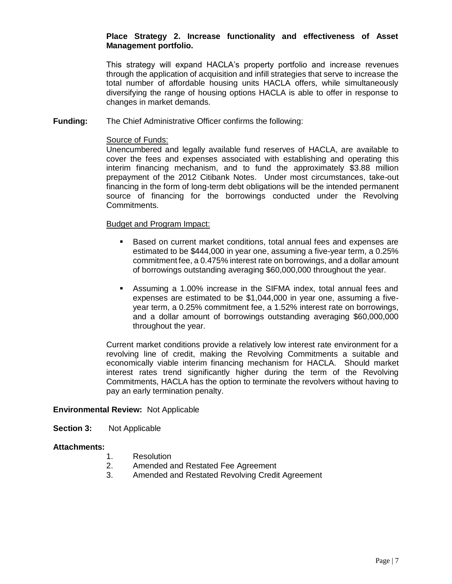## **Place Strategy 2. Increase functionality and effectiveness of Asset Management portfolio.**

This strategy will expand HACLA's property portfolio and increase revenues through the application of acquisition and infill strategies that serve to increase the total number of affordable housing units HACLA offers, while simultaneously diversifying the range of housing options HACLA is able to offer in response to changes in market demands.

**Funding:** The Chief Administrative Officer confirms the following:

#### Source of Funds:

Unencumbered and legally available fund reserves of HACLA, are available to cover the fees and expenses associated with establishing and operating this interim financing mechanism, and to fund the approximately \$3.88 million prepayment of the 2012 Citibank Notes. Under most circumstances, take-out financing in the form of long-term debt obligations will be the intended permanent source of financing for the borrowings conducted under the Revolving Commitments.

### Budget and Program Impact:

- Based on current market conditions, total annual fees and expenses are estimated to be \$444,000 in year one, assuming a five-year term, a 0.25% commitment fee, a 0.475% interest rate on borrowings, and a dollar amount of borrowings outstanding averaging \$60,000,000 throughout the year.
- Assuming a 1.00% increase in the SIFMA index, total annual fees and expenses are estimated to be \$1,044,000 in year one, assuming a fiveyear term, a 0.25% commitment fee, a 1.52% interest rate on borrowings, and a dollar amount of borrowings outstanding averaging \$60,000,000 throughout the year.

Current market conditions provide a relatively low interest rate environment for a revolving line of credit, making the Revolving Commitments a suitable and economically viable interim financing mechanism for HACLA. Should market interest rates trend significantly higher during the term of the Revolving Commitments, HACLA has the option to terminate the revolvers without having to pay an early termination penalty.

### **Environmental Review:** Not Applicable

**Section 3:** Not Applicable

### **Attachments:**

- 1. Resolution
- 2. Amended and Restated Fee Agreement
- 3. Amended and Restated Revolving Credit Agreement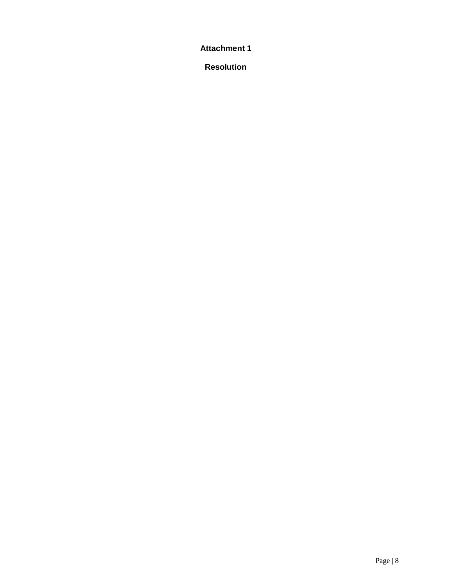**Attachment 1**

**Resolution**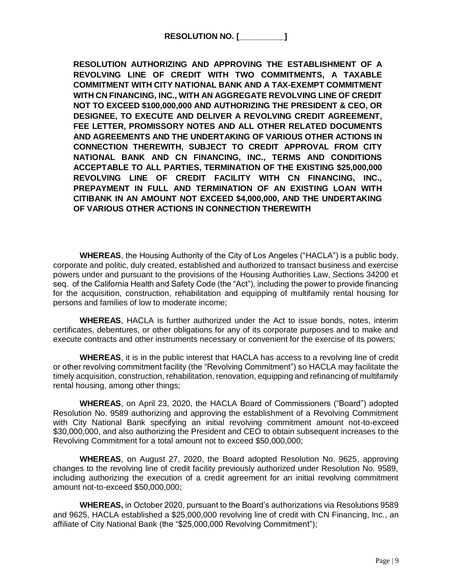**RESOLUTION NO. [\_\_\_\_\_\_\_\_\_\_]**

**RESOLUTION AUTHORIZING AND APPROVING THE ESTABLISHMENT OF A REVOLVING LINE OF CREDIT WITH TWO COMMITMENTS, A TAXABLE COMMITMENT WITH CITY NATIONAL BANK AND A TAX-EXEMPT COMMITMENT WITH CN FINANCING, INC., WITH AN AGGREGATE REVOLVING LINE OF CREDIT NOT TO EXCEED \$100,000,000 AND AUTHORIZING THE PRESIDENT & CEO, OR DESIGNEE, TO EXECUTE AND DELIVER A REVOLVING CREDIT AGREEMENT, FEE LETTER, PROMISSORY NOTES AND ALL OTHER RELATED DOCUMENTS AND AGREEMENTS AND THE UNDERTAKING OF VARIOUS OTHER ACTIONS IN CONNECTION THEREWITH, SUBJECT TO CREDIT APPROVAL FROM CITY NATIONAL BANK AND CN FINANCING, INC., TERMS AND CONDITIONS ACCEPTABLE TO ALL PARTIES, TERMINATION OF THE EXISTING \$25,000,000 REVOLVING LINE OF CREDIT FACILITY WITH CN FINANCING, INC., PREPAYMENT IN FULL AND TERMINATION OF AN EXISTING LOAN WITH CITIBANK IN AN AMOUNT NOT EXCEED \$4,000,000, AND THE UNDERTAKING OF VARIOUS OTHER ACTIONS IN CONNECTION THEREWITH**

**WHEREAS**, the Housing Authority of the City of Los Angeles ("HACLA") is a public body, corporate and politic, duly created, established and authorized to transact business and exercise powers under and pursuant to the provisions of the Housing Authorities Law, Sections 34200 et seq. of the California Health and Safety Code (the "Act"), including the power to provide financing for the acquisition, construction, rehabilitation and equipping of multifamily rental housing for persons and families of low to moderate income;

**WHEREAS**, HACLA is further authorized under the Act to issue bonds, notes, interim certificates, debentures, or other obligations for any of its corporate purposes and to make and execute contracts and other instruments necessary or convenient for the exercise of its powers;

**WHEREAS**, it is in the public interest that HACLA has access to a revolving line of credit or other revolving commitment facility (the "Revolving Commitment") so HACLA may facilitate the timely acquisition, construction, rehabilitation, renovation, equipping and refinancing of multifamily rental housing, among other things;

**WHEREAS**, on April 23, 2020, the HACLA Board of Commissioners ("Board") adopted Resolution No. 9589 authorizing and approving the establishment of a Revolving Commitment with City National Bank specifying an initial revolving commitment amount not-to-exceed \$30,000,000, and also authorizing the President and CEO to obtain subsequent increases to the Revolving Commitment for a total amount not to exceed \$50,000,000;

**WHEREAS**, on August 27, 2020, the Board adopted Resolution No. 9625, approving changes to the revolving line of credit facility previously authorized under Resolution No. 9589, including authorizing the execution of a credit agreement for an initial revolving commitment amount not-to-exceed \$50,000,000;

**WHEREAS,** in October 2020, pursuant to the Board's authorizations via Resolutions 9589 and 9625, HACLA established a \$25,000,000 revolving line of credit with CN Financing, Inc., an affiliate of City National Bank (the "\$25,000,000 Revolving Commitment");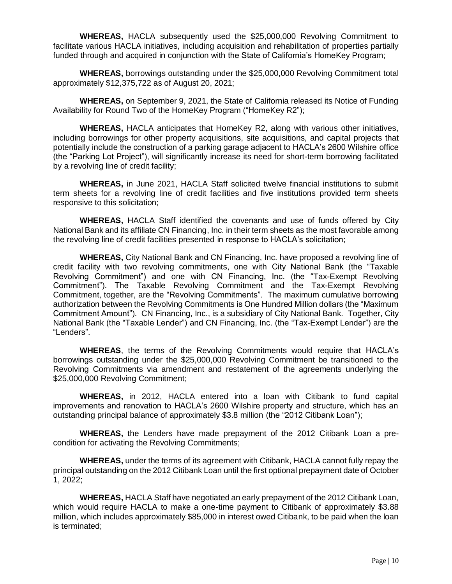**WHEREAS,** HACLA subsequently used the \$25,000,000 Revolving Commitment to facilitate various HACLA initiatives, including acquisition and rehabilitation of properties partially funded through and acquired in conjunction with the State of California's HomeKey Program;

**WHEREAS,** borrowings outstanding under the \$25,000,000 Revolving Commitment total approximately \$12,375,722 as of August 20, 2021;

**WHEREAS,** on September 9, 2021, the State of California released its Notice of Funding Availability for Round Two of the HomeKey Program ("HomeKey R2");

**WHEREAS,** HACLA anticipates that HomeKey R2, along with various other initiatives, including borrowings for other property acquisitions, site acquisitions, and capital projects that potentially include the construction of a parking garage adjacent to HACLA's 2600 Wilshire office (the "Parking Lot Project"), will significantly increase its need for short-term borrowing facilitated by a revolving line of credit facility;

**WHEREAS,** in June 2021, HACLA Staff solicited twelve financial institutions to submit term sheets for a revolving line of credit facilities and five institutions provided term sheets responsive to this solicitation;

**WHEREAS,** HACLA Staff identified the covenants and use of funds offered by City National Bank and its affiliate CN Financing, Inc. in their term sheets as the most favorable among the revolving line of credit facilities presented in response to HACLA's solicitation;

**WHEREAS,** City National Bank and CN Financing, Inc. have proposed a revolving line of credit facility with two revolving commitments, one with City National Bank (the "Taxable Revolving Commitment") and one with CN Financing, Inc. (the "Tax-Exempt Revolving Commitment"). The Taxable Revolving Commitment and the Tax-Exempt Revolving Commitment, together, are the "Revolving Commitments". The maximum cumulative borrowing authorization between the Revolving Commitments is One Hundred Million dollars (the "Maximum Commitment Amount"). CN Financing, Inc., is a subsidiary of City National Bank. Together, City National Bank (the "Taxable Lender") and CN Financing, Inc. (the "Tax-Exempt Lender") are the "Lenders".

**WHEREAS**, the terms of the Revolving Commitments would require that HACLA's borrowings outstanding under the \$25,000,000 Revolving Commitment be transitioned to the Revolving Commitments via amendment and restatement of the agreements underlying the \$25,000,000 Revolving Commitment;

**WHEREAS,** in 2012, HACLA entered into a loan with Citibank to fund capital improvements and renovation to HACLA's 2600 Wilshire property and structure, which has an outstanding principal balance of approximately \$3.8 million (the "2012 Citibank Loan");

**WHEREAS,** the Lenders have made prepayment of the 2012 Citibank Loan a precondition for activating the Revolving Commitments;

**WHEREAS,** under the terms of its agreement with Citibank, HACLA cannot fully repay the principal outstanding on the 2012 Citibank Loan until the first optional prepayment date of October 1, 2022;

**WHEREAS,** HACLA Staff have negotiated an early prepayment of the 2012 Citibank Loan, which would require HACLA to make a one-time payment to Citibank of approximately \$3.88 million, which includes approximately \$85,000 in interest owed Citibank, to be paid when the loan is terminated;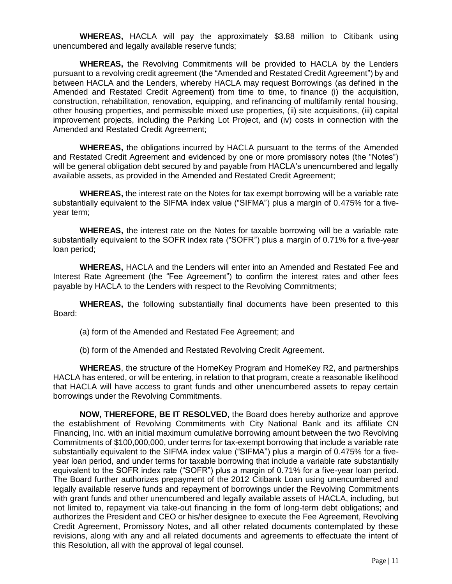**WHEREAS,** HACLA will pay the approximately \$3.88 million to Citibank using unencumbered and legally available reserve funds;

**WHEREAS,** the Revolving Commitments will be provided to HACLA by the Lenders pursuant to a revolving credit agreement (the "Amended and Restated Credit Agreement") by and between HACLA and the Lenders, whereby HACLA may request Borrowings (as defined in the Amended and Restated Credit Agreement) from time to time, to finance (i) the acquisition, construction, rehabilitation, renovation, equipping, and refinancing of multifamily rental housing, other housing properties, and permissible mixed use properties, (ii) site acquisitions, (iii) capital improvement projects, including the Parking Lot Project, and (iv) costs in connection with the Amended and Restated Credit Agreement;

**WHEREAS,** the obligations incurred by HACLA pursuant to the terms of the Amended and Restated Credit Agreement and evidenced by one or more promissory notes (the "Notes") will be general obligation debt secured by and payable from HACLA's unencumbered and legally available assets, as provided in the Amended and Restated Credit Agreement;

**WHEREAS,** the interest rate on the Notes for tax exempt borrowing will be a variable rate substantially equivalent to the SIFMA index value ("SIFMA") plus a margin of 0.475% for a fiveyear term;

**WHEREAS,** the interest rate on the Notes for taxable borrowing will be a variable rate substantially equivalent to the SOFR index rate ("SOFR") plus a margin of 0.71% for a five-year loan period;

**WHEREAS,** HACLA and the Lenders will enter into an Amended and Restated Fee and Interest Rate Agreement (the "Fee Agreement") to confirm the interest rates and other fees payable by HACLA to the Lenders with respect to the Revolving Commitments;

**WHEREAS,** the following substantially final documents have been presented to this Board:

(a) form of the Amended and Restated Fee Agreement; and

(b) form of the Amended and Restated Revolving Credit Agreement.

**WHEREAS**, the structure of the HomeKey Program and HomeKey R2, and partnerships HACLA has entered, or will be entering, in relation to that program, create a reasonable likelihood that HACLA will have access to grant funds and other unencumbered assets to repay certain borrowings under the Revolving Commitments.

**NOW, THEREFORE, BE IT RESOLVED**, the Board does hereby authorize and approve the establishment of Revolving Commitments with City National Bank and its affiliate CN Financing, Inc. with an initial maximum cumulative borrowing amount between the two Revolving Commitments of \$100,000,000, under terms for tax-exempt borrowing that include a variable rate substantially equivalent to the SIFMA index value ("SIFMA") plus a margin of 0.475% for a fiveyear loan period, and under terms for taxable borrowing that include a variable rate substantially equivalent to the SOFR index rate ("SOFR") plus a margin of 0.71% for a five-year loan period. The Board further authorizes prepayment of the 2012 Citibank Loan using unencumbered and legally available reserve funds and repayment of borrowings under the Revolving Commitments with grant funds and other unencumbered and legally available assets of HACLA, including, but not limited to, repayment via take-out financing in the form of long-term debt obligations; and authorizes the President and CEO or his/her designee to execute the Fee Agreement, Revolving Credit Agreement, Promissory Notes, and all other related documents contemplated by these revisions, along with any and all related documents and agreements to effectuate the intent of this Resolution, all with the approval of legal counsel.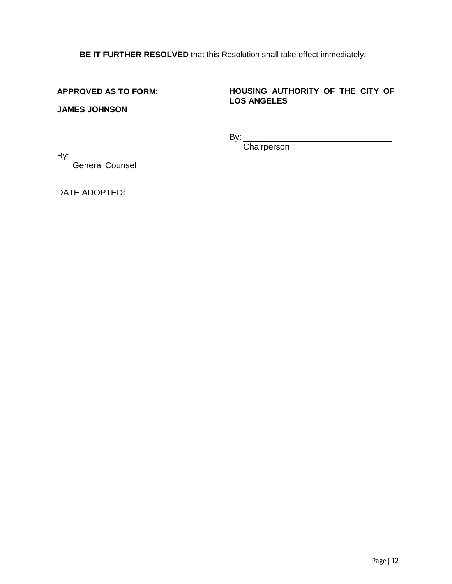**BE IT FURTHER RESOLVED** that this Resolution shall take effect immediately.

**APPROVED AS TO FORM:**

## **HOUSING AUTHORITY OF THE CITY OF LOS ANGELES**

**JAMES JOHNSON**

By:  $\qquad \qquad$ 

**Chairperson** 

By:

General Counsel

DATE ADOPTED: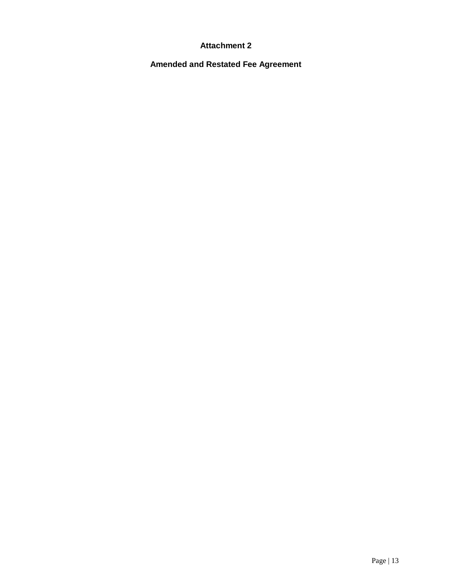## **Attachment 2**

**Amended and Restated Fee Agreement**